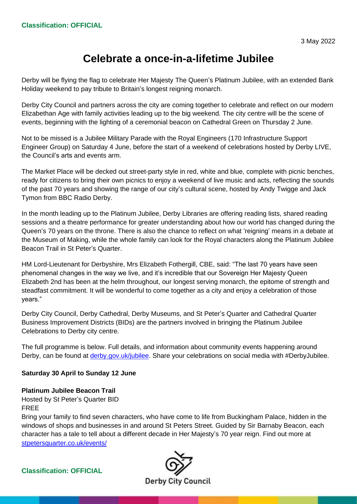# **Celebrate a once-in-a-lifetime Jubilee**

Derby will be flying the flag to celebrate Her Majesty The Queen's Platinum Jubilee, with an extended Bank Holiday weekend to pay tribute to Britain's longest reigning monarch.

Derby City Council and partners across the city are coming together to celebrate and reflect on our modern Elizabethan Age with family activities leading up to the big weekend. The city centre will be the scene of events, beginning with the lighting of a ceremonial beacon on Cathedral Green on Thursday 2 June.

Not to be missed is a Jubilee Military Parade with the Royal Engineers (170 Infrastructure Support Engineer Group) on Saturday 4 June, before the start of a weekend of celebrations hosted by Derby LIVE, the Council's arts and events arm.

The Market Place will be decked out street-party style in red, white and blue, complete with picnic benches, ready for citizens to bring their own picnics to enjoy a weekend of live music and acts, reflecting the sounds of the past 70 years and showing the range of our city's cultural scene, hosted by Andy Twigge and Jack Tymon from BBC Radio Derby.

In the month leading up to the Platinum Jubilee, Derby Libraries are offering reading lists, shared reading sessions and a theatre performance for greater understanding about how our world has changed during the Queen's 70 years on the throne. There is also the chance to reflect on what 'reigning' means in a debate at the Museum of Making, while the whole family can look for the Royal characters along the Platinum Jubilee Beacon Trail in St Peter's Quarter.

HM Lord-Lieutenant for Derbyshire, Mrs Elizabeth Fothergill, CBE, said: "The last 70 years have seen phenomenal changes in the way we live, and it's incredible that our Sovereign Her Majesty Queen Elizabeth 2nd has been at the helm throughout, our longest serving monarch, the epitome of strength and steadfast commitment. It will be wonderful to come together as a city and enjoy a celebration of those years."

Derby City Council, Derby Cathedral, Derby Museums, and St Peter's Quarter and Cathedral Quarter Business Improvement Districts (BIDs) are the partners involved in bringing the Platinum Jubilee Celebrations to Derby city centre.

The full programme is below. Full details, and information about community events happening around Derby, can be found at [derby.gov.uk/jubilee.](http://www.derby.gov.uk/jubilee) Share your celebrations on social media with #DerbyJubilee.

# **Saturday 30 April to Sunday 12 June**

**Platinum Jubilee Beacon Trail**

Hosted by St Peter's Quarter BID FREE

Bring your family to find seven characters, who have come to life from Buckingham Palace, hidden in the windows of shops and businesses in and around St Peters Street. Guided by Sir Barnaby Beacon, each character has a tale to tell about a different decade in Her Majesty's 70 year reign. Find out more at [stpetersquarter.co.uk/events/](https://www.stpetersquarter.co.uk/events/the-queens-platinum-jubilee-beacon-trail)

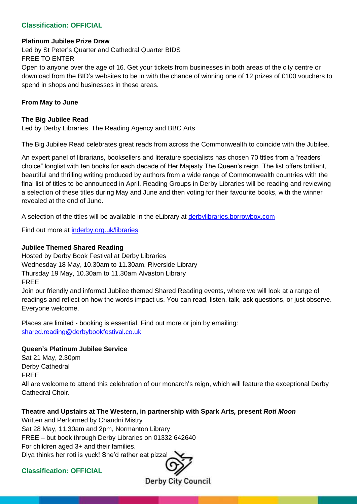#### **Platinum Jubilee Prize Draw**

Led by St Peter's Quarter and Cathedral Quarter BIDS FREE TO ENTER Open to anyone over the age of 16. Get your tickets from businesses in both areas of the city centre or download from the BID's websites to be in with the chance of winning one of 12 prizes of £100 vouchers to spend in shops and businesses in these areas.

## **From May to June**

### **The Big Jubilee Read**

Led by Derby Libraries, The Reading Agency and BBC Arts

The Big Jubilee Read celebrates great reads from across the Commonwealth to coincide with the Jubilee.

An expert panel of librarians, booksellers and literature specialists has chosen 70 titles from a "readers' choice" longlist with ten books for each decade of Her Majesty The Queen's reign. The list offers brilliant, beautiful and thrilling writing produced by authors from a wide range of Commonwealth countries with the final list of titles to be announced in April. Reading Groups in Derby Libraries will be reading and reviewing a selection of these titles during May and June and then voting for their favourite books, with the winner revealed at the end of June.

A selection of the titles will be available in the eLibrary at [derbylibraries.borrowbox.com](https://derbylibraries.borrowbox.com/)

Find out more at [inderby.org.uk/libraries](http://www.inderby.org.uk/libraries)

## **Jubilee Themed Shared Reading**

Hosted by Derby Book Festival at Derby Libraries Wednesday 18 May, 10.30am to 11.30am, Riverside Library Thursday 19 May, 10.30am to 11.30am Alvaston Library FREE

Join our friendly and informal Jubilee themed Shared Reading events, where we will look at a range of readings and reflect on how the words impact us. You can read, listen, talk, ask questions, or just observe. Everyone welcome.

Places are limited - booking is essential. Find out more or join by emailing: [shared.reading@derbybookfestival.co.uk](mailto:shared.reading@derbybookfestival.co.uk)

#### **Queen's Platinum Jubilee Service**

Sat 21 May, 2.30pm Derby Cathedral FREE All are welcome to attend this celebration of our monarch's reign, which will feature the exceptional Derby Cathedral Choir.

# **Theatre and Upstairs at The Western, in partnership with Spark Arts***,* **present** *Roti Moon*

Written and Performed by Chandni Mistry Sat 28 May, 11.30am and 2pm, Normanton Library FREE – but book through Derby Libraries on 01332 642640 For children aged 3+ and their families. Diya thinks her roti is yuck! She'd rather eat pizza!

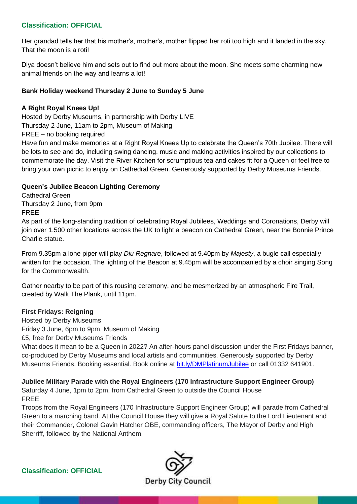Her grandad tells her that his mother's, mother's, mother flipped her roti too high and it landed in the sky. That the moon is a roti!

Diya doesn't believe him and sets out to find out more about the moon. She meets some charming new animal friends on the way and learns a lot!

# **Bank Holiday weekend Thursday 2 June to Sunday 5 June**

# **A Right Royal Knees Up!**

Hosted by Derby Museums, in partnership with Derby LIVE Thursday 2 June, 11am to 2pm, Museum of Making FREE – no booking required

Have fun and make memories at a Right Royal Knees Up to celebrate the Queen's 70th Jubilee. There will be lots to see and do, including swing dancing, music and making activities inspired by our collections to commemorate the day. Visit the River Kitchen for scrumptious tea and cakes fit for a Queen or feel free to bring your own picnic to enjoy on Cathedral Green. Generously supported by Derby Museums Friends.

# **Queen's Jubilee Beacon Lighting Ceremony**

Cathedral Green Thursday 2 June, from 9pm FREE

As part of the long-standing tradition of celebrating Royal Jubilees, Weddings and Coronations, Derby will join over 1,500 other locations across the UK to light a beacon on Cathedral Green, near the Bonnie Prince Charlie statue.

From 9.35pm a lone piper will play *Diu Regnare*, followed at 9.40pm by *Majesty*, a bugle call especially written for the occasion. The lighting of the Beacon at 9.45pm will be accompanied by a choir singing Song for the Commonwealth.

Gather nearby to be part of this rousing ceremony, and be mesmerized by an atmospheric Fire Trail, created by Walk The Plank, until 11pm.

# **First Fridays: Reigning**

Hosted by Derby Museums Friday 3 June, 6pm to 9pm, Museum of Making £5, free for Derby Museums Friends What does it mean to be a Queen in 2022? An after-hours panel discussion under the First Fridays banner, co-produced by Derby Museums and local artists and communities. Generously supported by Derby Museums Friends. Booking essential. Book online at [bit.ly/DMPlatinumJubilee](https://www.bit.ly/DMPlatinumJubilee) or call 01332 641901.

# **Jubilee Military Parade with the Royal Engineers (170 Infrastructure Support Engineer Group)**

Saturday 4 June, 1pm to 2pm, from Cathedral Green to outside the Council House FREE

Troops from the Royal Engineers (170 Infrastructure Support Engineer Group) will parade from Cathedral Green to a marching band. At the Council House they will give a Royal Salute to the Lord Lieutenant and their Commander, Colonel Gavin Hatcher OBE, commanding officers, The Mayor of Derby and High Sherriff, followed by the National Anthem.

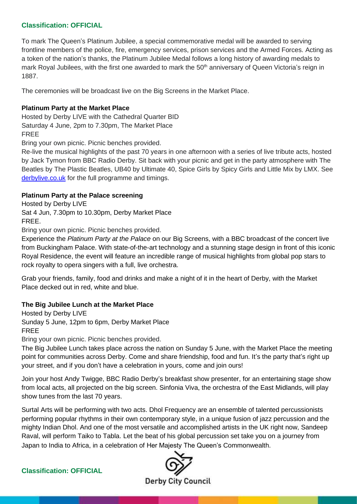To mark The Queen's Platinum Jubilee, a special commemorative medal will be awarded to serving frontline members of the police, fire, emergency services, prison services and the Armed Forces. Acting as a token of the nation's thanks, the Platinum Jubilee Medal follows a long history of awarding medals to mark Royal Jubilees, with the first one awarded to mark the 50<sup>th</sup> anniversary of Queen Victoria's reign in 1887.

The ceremonies will be broadcast live on the Big Screens in the Market Place.

## **Platinum Party at the Market Place**

Hosted by Derby LIVE with the Cathedral Quarter BID Saturday 4 June, 2pm to 7.30pm, The Market Place FREE

Bring your own picnic. Picnic benches provided.

Re-live the musical highlights of the past 70 years in one afternoon with a series of live tribute acts, hosted by Jack Tymon from BBC Radio Derby. Sit back with your picnic and get in the party atmosphere with The Beatles by The Plastic Beatles, UB40 by Ultimate 40, Spice Girls by Spicy Girls and Little Mix by LMX. See [derbylive.co.uk](https://www.derbylive.co.uk/whats-on/derby-jubilee-celebration/) for the full programme and timings.

## **Platinum Party at the Palace screening**

Hosted by Derby LIVE Sat 4 Jun, 7.30pm to 10.30pm, Derby Market Place FREE.

Bring your own picnic. Picnic benches provided.

Experience the *Platinum Party at the Palace* on our Big Screens, with a BBC broadcast of the concert live from Buckingham Palace. With state-of-the-art technology and a stunning stage design in front of this iconic Royal Residence, the event will feature an incredible range of musical highlights from global pop stars to rock royalty to opera singers with a full, live orchestra.

Grab your friends, family, food and drinks and make a night of it in the heart of Derby, with the Market Place decked out in red, white and blue.

# **The Big Jubilee Lunch at the Market Place**

Hosted by Derby LIVE Sunday 5 June, 12pm to 6pm, Derby Market Place FREE

Bring your own picnic. Picnic benches provided.

The Big Jubilee Lunch takes place across the nation on Sunday 5 June, with the Market Place the meeting point for communities across Derby. Come and share friendship, food and fun. It's the party that's right up your street, and if you don't have a celebration in yours, come and join ours!

Join your host Andy Twigge, BBC Radio Derby's breakfast show presenter, for an entertaining stage show from local acts, all projected on the big screen. Sinfonia Viva, the orchestra of the East Midlands, will play show tunes from the last 70 years.

Surtal Arts will be performing with two acts. Dhol Frequency are an ensemble of talented percussionists performing popular rhythms in their own contemporary style, in a unique fusion of jazz percussion and the mighty Indian Dhol. And one of the most versatile and accomplished artists in the UK right now, Sandeep Raval, will perform Taiko to Tabla. Let the beat of his global percussion set take you on a journey from Japan to India to Africa, in a celebration of Her Majesty The Queen's Commonwealth.